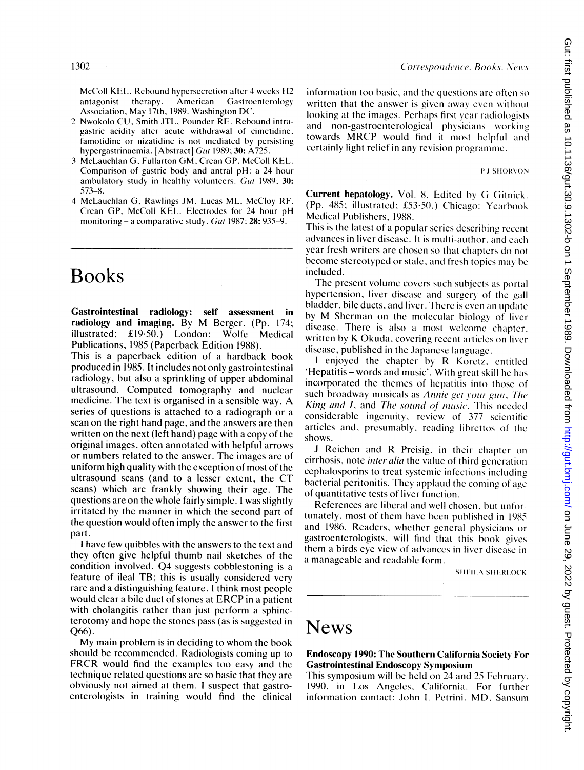McColl KEL. Rebound hypersecretion after 4 weeks H2 antagonist therapy. American Gastrocntcrology Association, May 17th, 1989. Washington DC.

- 2 Nwokolo CU. Smith JTL. Pounder RE. Rebound intragastric acidity after acute withdrawal of cimetidine. famotidinc or nizatidine is not mediated by persisting hypergastrinaemia. [Abstract] Gut 1989; 30: A725.
- <sup>3</sup> McLauchlan G. Fullarton GM. Crean GP. McColl KEL. Comparison of gastric body and antral pH: a 24 hour ambulatory study in healthy volunteers. Gut 1989; 30: 573-8.
- 4 McLauchlan G, Rawlings JM, Lucas ML, McCloy RF. Crcan GP. McColl KEL. Electrodcs for 24 hour pH monitoring - a comparative study. Gut 1987;  $28: 935-9$ .

## Books

Gastrointestinal radiology: self assessment in radiology and imaging. By M Berger. (Pp. 174; illustrated; £19-50.) London: Wolfe Medical Publications, 1985 (Paperback Edition 1988).

This is a paperback edition of a hardback book produced in 1985. It includes not only gastrointestinal radiology, but also a sprinkling of upper abdominal ultrasound. Computed tomography and nuclear medicine. The text is organised in <sup>a</sup> sensible way. A series of questions is attached to a radiograph or a scan on the right hand page, and the answers are then written on the next (left hand) page with a copy of the original images, often annotated with helpful arrows or numbers related to the answer. The images are of uniform high quality with the exception of most of the ultrasound scans (and to <sup>a</sup> lesser extent, the CT scans) which are frankly showing their age. The questions are on the whole fairly simple. <sup>I</sup> was slightly irritated by the manner in which the second part of the question would often imply the answer to the first part.

<sup>I</sup> have few quibbles with the answers to the text and they often give helpful thumb nail sketches of the condition involved. Q4 suggests cobblestoning is <sup>a</sup> feature of ileal TB; this is usually considered very rare and a distinguishing feature. <sup>I</sup> think most people would clear <sup>a</sup> bile duct of stones at ERCP in <sup>a</sup> patient with cholangitis rather than just perform a sphincterotomy and hope the stones pass (as is suggested in Q66).

My main problem is in deciding to whom the book should be recommended. Radiologists coming up to FRCR would find the examples too easy and the technique related questions are so basic that they are obviously not aimed at them. <sup>I</sup> suspect that gastroenterologists in training would find the clinical

information too basic, and the questions are often so written that the answer is given away even without looking at the images. Perhaps first year radiologists and non-gastroenterological physicians working towards MRCP would find it most helpful and certainly light relief in any rcvision programme.

P.1 SIJORVON

Current hepatology. Vol. 8. Edited by G Gitnick. (Pp. 485; illustrated; £53.50.) Chicago: Yearbook Medical Publishers, 1988.

This is the latest of a popular series describing recent advances in liver disease. It is multi-author, and cachi year fresh writers are chosen so that chapters do not become stereotyped or stale, and fresh topics may be included.

The present volume covers such subjects as portal hypertension, liver disease and surgery of the gall bladder, bile ducts, and liver. There is even an update by M Sherman on the molecular biology of livcr disease. There is also a most welcome chapter, written by K Okuda, covcring reccnt articles on liver diseasc, published in the Japanese languagc.

I enjoyed the chapter by R Koretz, entitled 'Hepatitis - words and music'. With grcat skill he has incorporated the themes of hepatitis into those of such broadway musicals as Annie get your gun, The King and I, and The sound of music. This needed considerable ingenuity, review of 377 scientific articles and, presumably, reading librettos of the shows.

<sup>J</sup> Reichen and R Preisig, in their chaptcr on cirrhosis, note *inter alia* the value of third generation cephalosporins to treat systemic infections including bacterial peritonitis. They applaud the coming of age of quantitative tests of liver function.

References arc liberal and well chosen, but unfortunately, most of them have been published in 1985, and 1986. Readers, whether general physicians or gastroenterologists, will find that this book gives them <sup>a</sup> birds eye view of advances in livcr diseasc in a manageable and readable form.

SHEILA SHERLOCK

### News

#### Endoscopy 1990: The Southern California Society For Gastrointestinal Endoscopy Symposium

This symposium will be held on 24 and 25 Fcbruary, 1990, in Los Angeles, California. For further information contact: John L Petrini, MD, Sansum